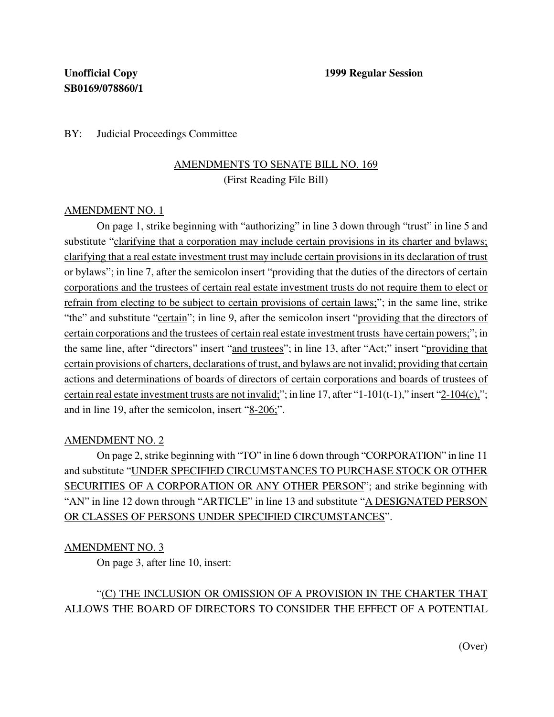### BY: Judicial Proceedings Committee

## AMENDMENTS TO SENATE BILL NO. 169 (First Reading File Bill)

### AMENDMENT NO. 1

On page 1, strike beginning with "authorizing" in line 3 down through "trust" in line 5 and substitute "clarifying that a corporation may include certain provisions in its charter and bylaws; clarifying that a real estate investment trust may include certain provisions in its declaration of trust or bylaws"; in line 7, after the semicolon insert "providing that the duties of the directors of certain corporations and the trustees of certain real estate investment trusts do not require them to elect or refrain from electing to be subject to certain provisions of certain laws;"; in the same line, strike "the" and substitute "certain"; in line 9, after the semicolon insert "providing that the directors of certain corporations and the trustees of certain real estate investment trusts have certain powers;"; in the same line, after "directors" insert "and trustees"; in line 13, after "Act;" insert "providing that certain provisions of charters, declarations of trust, and bylaws are not invalid; providing that certain actions and determinations of boards of directors of certain corporations and boards of trustees of certain real estate investment trusts are not invalid;"; in line 17, after "1-101(t-1)," insert "2-104(c),"; and in line 19, after the semicolon, insert "8-206;".

### AMENDMENT NO. 2

On page 2, strike beginning with "TO" in line 6 down through "CORPORATION" in line 11 and substitute "UNDER SPECIFIED CIRCUMSTANCES TO PURCHASE STOCK OR OTHER SECURITIES OF A CORPORATION OR ANY OTHER PERSON"; and strike beginning with "AN" in line 12 down through "ARTICLE" in line 13 and substitute "A DESIGNATED PERSON OR CLASSES OF PERSONS UNDER SPECIFIED CIRCUMSTANCES".

### AMENDMENT NO. 3

On page 3, after line 10, insert:

## "(C) THE INCLUSION OR OMISSION OF A PROVISION IN THE CHARTER THAT ALLOWS THE BOARD OF DIRECTORS TO CONSIDER THE EFFECT OF A POTENTIAL

(Over)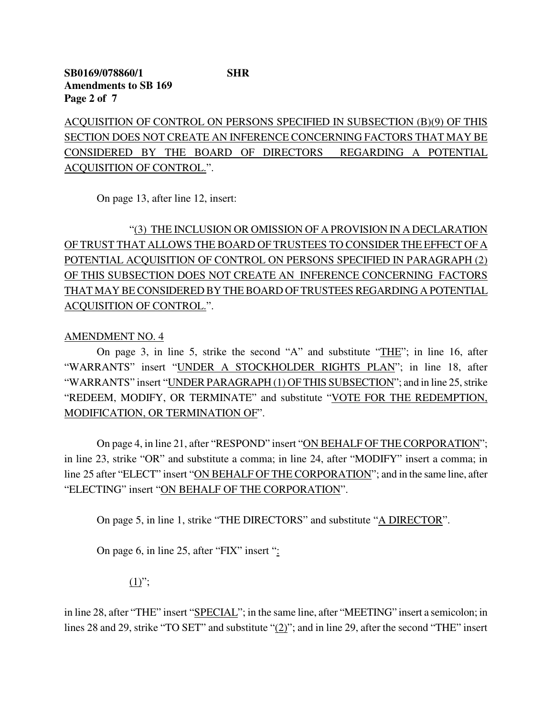ACQUISITION OF CONTROL ON PERSONS SPECIFIED IN SUBSECTION (B)(9) OF THIS SECTION DOES NOT CREATE AN INFERENCE CONCERNING FACTORS THAT MAY BE CONSIDERED BY THE BOARD OF DIRECTORS REGARDING A POTENTIAL ACQUISITION OF CONTROL.".

On page 13, after line 12, insert:

# "(3) THE INCLUSION OR OMISSION OF A PROVISION IN A DECLARATION OF TRUST THAT ALLOWS THE BOARD OF TRUSTEES TO CONSIDER THE EFFECT OF A POTENTIAL ACQUISITION OF CONTROL ON PERSONS SPECIFIED IN PARAGRAPH (2) OF THIS SUBSECTION DOES NOT CREATE AN INFERENCE CONCERNING FACTORS THAT MAY BE CONSIDERED BY THE BOARD OF TRUSTEES REGARDING A POTENTIAL ACQUISITION OF CONTROL.".

### AMENDMENT NO. 4

On page 3, in line 5, strike the second "A" and substitute "THE"; in line 16, after "WARRANTS" insert "UNDER A STOCKHOLDER RIGHTS PLAN"; in line 18, after "WARRANTS" insert "UNDER PARAGRAPH (1) OF THIS SUBSECTION"; and in line 25, strike "REDEEM, MODIFY, OR TERMINATE" and substitute "VOTE FOR THE REDEMPTION, MODIFICATION, OR TERMINATION OF".

On page 4, in line 21, after "RESPOND" insert "ON BEHALF OF THE CORPORATION"; in line 23, strike "OR" and substitute a comma; in line 24, after "MODIFY" insert a comma; in line 25 after "ELECT" insert "ON BEHALF OF THE CORPORATION"; and in the same line, after "ELECTING" insert "ON BEHALF OF THE CORPORATION".

On page 5, in line 1, strike "THE DIRECTORS" and substitute "A DIRECTOR".

On page 6, in line 25, after "FIX" insert ":

 $(1)$ ";

in line 28, after "THE" insert "SPECIAL"; in the same line, after "MEETING" insert a semicolon; in lines 28 and 29, strike "TO SET" and substitute "(2)"; and in line 29, after the second "THE" insert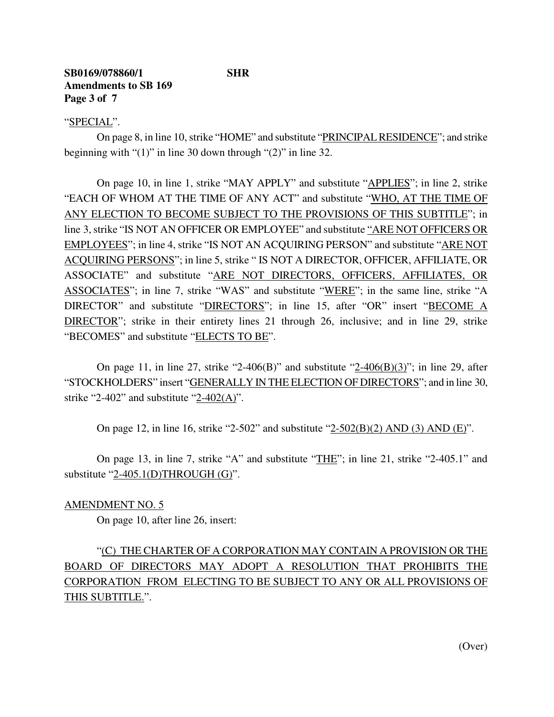### **SB0169/078860/1 SHR Amendments to SB 169 Page 3 of 7**

### "SPECIAL".

On page 8, in line 10, strike "HOME" and substitute "PRINCIPAL RESIDENCE"; and strike beginning with "(1)" in line 30 down through "(2)" in line 32.

On page 10, in line 1, strike "MAY APPLY" and substitute "APPLIES"; in line 2, strike "EACH OF WHOM AT THE TIME OF ANY ACT" and substitute "WHO, AT THE TIME OF ANY ELECTION TO BECOME SUBJECT TO THE PROVISIONS OF THIS SUBTITLE"; in line 3,strike "IS NOT AN OFFICER OR EMPLOYEE" and substitute "ARE NOT OFFICERS OR EMPLOYEES"; in line 4, strike "IS NOT AN ACQUIRING PERSON" and substitute "ARE NOT ACQUIRING PERSONS"; in line 5, strike " IS NOT A DIRECTOR, OFFICER, AFFILIATE, OR ASSOCIATE" and substitute "ARE NOT DIRECTORS, OFFICERS, AFFILIATES, OR ASSOCIATES"; in line 7, strike "WAS" and substitute "WERE"; in the same line, strike "A DIRECTOR" and substitute "DIRECTORS"; in line 15, after "OR" insert "BECOME A DIRECTOR"; strike in their entirety lines 21 through 26, inclusive; and in line 29, strike "BECOMES" and substitute "ELECTS TO BE".

On page 11, in line 27, strike "2-406(B)" and substitute " $2-406(B)(3)$ "; in line 29, after "STOCKHOLDERS" insert "GENERALLY IN THE ELECTION OF DIRECTORS"; and in line 30, strike "2-402" and substitute " $2-402(A)$ ".

On page 12, in line 16, strike "2-502" and substitute "2-502(B)(2) AND (3) AND (E)".

On page 13, in line 7, strike "A" and substitute "THE"; in line 21, strike "2-405.1" and substitute "2-405.1(D)THROUGH (G)".

### AMENDMENT NO. 5

On page 10, after line 26, insert:

# "(C) THE CHARTER OF A CORPORATION MAY CONTAIN A PROVISION OR THE BOARD OF DIRECTORS MAY ADOPT A RESOLUTION THAT PROHIBITS THE CORPORATION FROM ELECTING TO BE SUBJECT TO ANY OR ALL PROVISIONS OF THIS SUBTITLE.".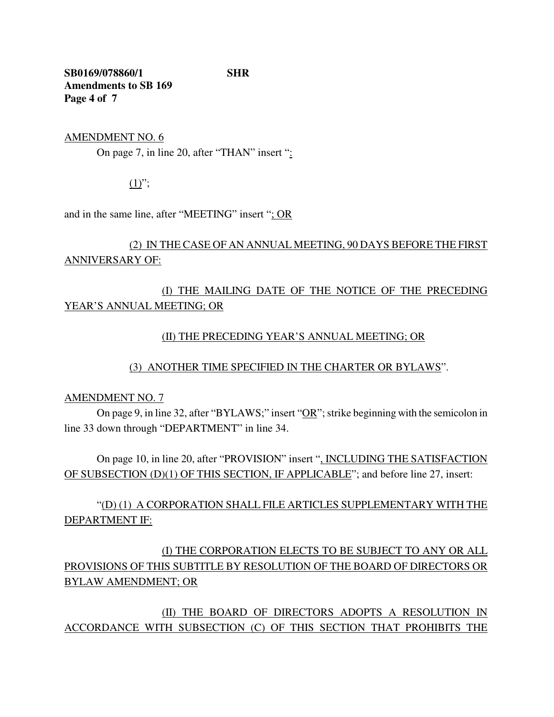**SB0169/078860/1 SHR Amendments to SB 169 Page 4 of 7**

AMENDMENT NO. 6

On page 7, in line 20, after "THAN" insert ":

 $(1)$ ";

and in the same line, after "MEETING" insert "; OR

## (2) IN THE CASE OF AN ANNUAL MEETING, 90 DAYS BEFORE THE FIRST ANNIVERSARY OF:

## (I) THE MAILING DATE OF THE NOTICE OF THE PRECEDING YEAR'S ANNUAL MEETING; OR

### (II) THE PRECEDING YEAR'S ANNUAL MEETING; OR

(3) ANOTHER TIME SPECIFIED IN THE CHARTER OR BYLAWS".

### AMENDMENT NO. 7

On page 9, in line 32, after "BYLAWS;" insert "OR"; strike beginning with the semicolon in line 33 down through "DEPARTMENT" in line 34.

On page 10, in line 20, after "PROVISION" insert ", INCLUDING THE SATISFACTION OF SUBSECTION (D)(1) OF THIS SECTION, IF APPLICABLE"; and before line 27, insert:

"(D) (1) A CORPORATION SHALL FILE ARTICLES SUPPLEMENTARY WITH THE DEPARTMENT IF:

(I) THE CORPORATION ELECTS TO BE SUBJECT TO ANY OR ALL PROVISIONS OF THIS SUBTITLE BY RESOLUTION OF THE BOARD OF DIRECTORS OR BYLAW AMENDMENT; OR

(II) THE BOARD OF DIRECTORS ADOPTS A RESOLUTION IN ACCORDANCE WITH SUBSECTION (C) OF THIS SECTION THAT PROHIBITS THE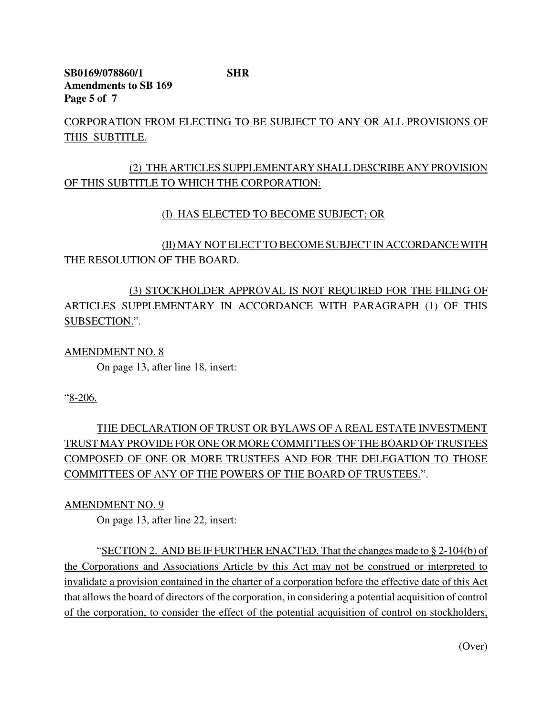**SB0169/078860/1 SHR Amendments to SB 169 Page 5 of 7**

CORPORATION FROM ELECTING TO BE SUBJECT TO ANY OR ALL PROVISIONS OF THIS SUBTITLE.

### (2) THE ARTICLES SUPPLEMENTARY SHALL DESCRIBE ANY PROVISION OF THIS SUBTITLE TO WHICH THE CORPORATION:

### (I) HAS ELECTED TO BECOME SUBJECT; OR

(II) MAY NOT ELECT TO BECOME SUBJECT IN ACCORDANCEWITH THE RESOLUTION OF THE BOARD.

## (3) STOCKHOLDER APPROVAL IS NOT REQUIRED FOR THE FILING OF ARTICLES SUPPLEMENTARY IN ACCORDANCE WITH PARAGRAPH (1) OF THIS SUBSECTION.".

### AMENDMENT NO. 8

On page 13, after line 18, insert:

"8-206.

# THE DECLARATION OF TRUST OR BYLAWS OF A REAL ESTATE INVESTMENT TRUST MAY PROVIDE FOR ONE OR MORE COMMITTEES OF THE BOARD OF TRUSTEES COMPOSED OF ONE OR MORE TRUSTEES AND FOR THE DELEGATION TO THOSE COMMITTEES OF ANY OF THE POWERS OF THE BOARD OF TRUSTEES.".

### AMENDMENT NO. 9

On page 13, after line 22, insert:

"SECTION 2. AND BE IF FURTHER ENACTED, That the changes made to  $\S 2\n-104(b)$  of the Corporations and Associations Article by this Act may not be construed or interpreted to invalidate a provision contained in the charter of a corporation before the effective date of this Act that allowsthe board of directors of the corporation, in considering a potential acquisition of control of the corporation, to consider the effect of the potential acquisition of control on stockholders,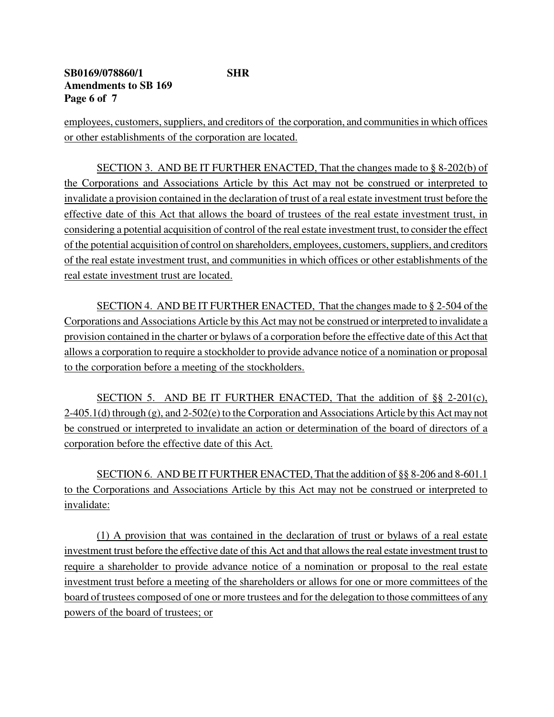### **SB0169/078860/1 SHR Amendments to SB 169 Page 6 of 7**

employees, customers, suppliers, and creditors of the corporation, and communities in which offices or other establishments of the corporation are located.

SECTION 3. AND BE IT FURTHER ENACTED, That the changes made to § 8-202(b) of the Corporations and Associations Article by this Act may not be construed or interpreted to invalidate a provision contained in the declaration of trust of a real estate investment trust before the effective date of this Act that allows the board of trustees of the real estate investment trust, in considering a potential acquisition of control of the real estate investment trust, to consider the effect of the potential acquisition of control on shareholders, employees, customers, suppliers, and creditors of the real estate investment trust, and communities in which offices or other establishments of the real estate investment trust are located.

SECTION 4. AND BE IT FURTHER ENACTED, That the changes made to § 2-504 of the Corporations and Associations Article by this Act may not be construed or interpreted to invalidate a provision contained in the charter or bylaws of a corporation before the effective date of this Act that allows a corporation to require a stockholder to provide advance notice of a nomination or proposal to the corporation before a meeting of the stockholders.

SECTION 5. AND BE IT FURTHER ENACTED, That the addition of  $\S$ § 2-201(c), 2-405.1(d) through (g), and 2-502(e) to the Corporation and Associations Article by this Act may not be construed or interpreted to invalidate an action or determination of the board of directors of a corporation before the effective date of this Act.

SECTION 6. AND BE IT FURTHER ENACTED, That the addition of §§ 8-206 and 8-601.1 to the Corporations and Associations Article by this Act may not be construed or interpreted to invalidate:

(1) A provision that was contained in the declaration of trust or bylaws of a real estate investment trust before the effective date of this Act and that allowsthe real estate investment trust to require a shareholder to provide advance notice of a nomination or proposal to the real estate investment trust before a meeting of the shareholders or allows for one or more committees of the board of trustees composed of one or more trustees and for the delegation to those committees of any powers of the board of trustees; or